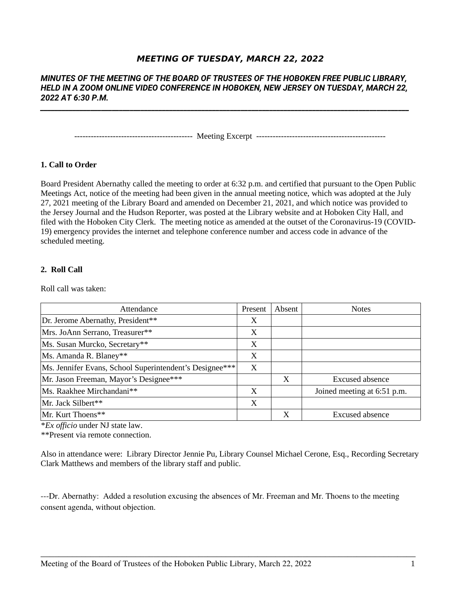# **MEETING OF TUESDAY, MARCH 22, 2022**

# *MINUTES OF THE MEETING OF THE BOARD OF TRUSTEES OF THE HOBOKEN FREE PUBLIC LIBRARY, HELD IN A ZOOM ONLINE VIDEO CONFERENCE IN HOBOKEN, NEW JERSEY ON TUESDAY, MARCH 22, 2022 AT 6:30 P.M.*

*\_\_\_\_\_\_\_\_\_\_\_\_\_\_\_\_\_\_\_\_\_\_\_\_\_\_\_\_\_\_\_\_\_\_\_\_\_\_\_\_\_\_\_\_\_\_\_\_\_\_\_\_\_\_\_\_\_\_\_\_\_\_\_\_\_\_\_\_\_\_\_\_\_\_\_\_\_\_\_\_\_\_\_\_\_\_\_\_\_\_\_\_\_\_\_\_\_\_\_\_\_\_\_*

------------------------------------------- Meeting Excerpt -----------------------------------------------

#### **1. Call to Order**

Board President Abernathy called the meeting to order at 6:32 p.m. and certified that pursuant to the Open Public Meetings Act, notice of the meeting had been given in the annual meeting notice, which was adopted at the July 27, 2021 meeting of the Library Board and amended on December 21, 2021, and which notice was provided to the Jersey Journal and the Hudson Reporter, was posted at the Library website and at Hoboken City Hall, and filed with the Hoboken City Clerk. The meeting notice as amended at the outset of the Coronavirus-19 (COVID-19) emergency provides the internet and telephone conference number and access code in advance of the scheduled meeting.

### **2. Roll Call**

Roll call was taken:

| Attendance                                              | <b>Present</b> | Absent | <b>Notes</b>                |
|---------------------------------------------------------|----------------|--------|-----------------------------|
| Dr. Jerome Abernathy, President**                       | X              |        |                             |
| Mrs. JoAnn Serrano, Treasurer**                         | X              |        |                             |
| Ms. Susan Murcko, Secretary**                           | X              |        |                             |
| Ms. Amanda R. Blaney**                                  | X              |        |                             |
| Ms. Jennifer Evans, School Superintendent's Designee*** | X              |        |                             |
| Mr. Jason Freeman, Mayor's Designee***                  |                | X      | Excused absence             |
| Ms. Raakhee Mirchandani**                               | X              |        | Joined meeting at 6:51 p.m. |
| Mr. Jack Silbert**                                      | X              |        |                             |
| Mr. Kurt Thoens**                                       |                | X      | <b>Excused absence</b>      |

\**Ex officio* under NJ state law.

\*\*Present via remote connection.

Also in attendance were: Library Director Jennie Pu, Library Counsel Michael Cerone, Esq., Recording Secretary Clark Matthews and members of the library staff and public.

---Dr. Abernathy: Added a resolution excusing the absences of Mr. Freeman and Mr. Thoens to the meeting consent agenda, without objection.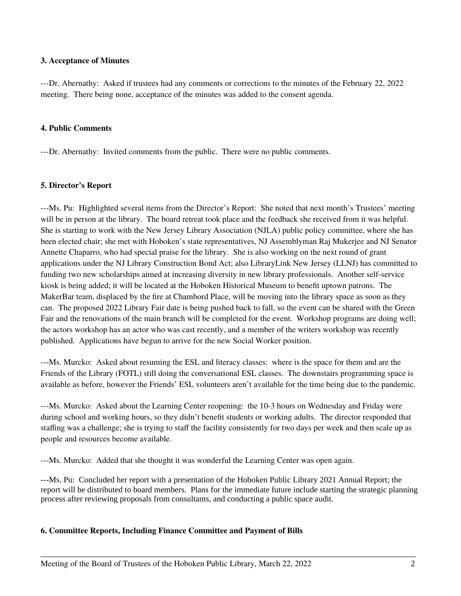### **3. Acceptance of Minutes**

---Dr. Abernathy: Asked if trustees had any comments or corrections to the minutes of the February 22, 2022 meeting. There being none, acceptance of the minutes was added to the consent agenda.

### **4. Public Comments**

---Dr. Abernathy: Invited comments from the public. There were no public comments.

### **5. Director's Report**

---Ms. Pu: Highlighted several items from the Director's Report: She noted that next month's Trustees' meeting will be in person at the library. The board retreat took place and the feedback she received from it was helpful. She is starting to work with the New Jersey Library Association (NJLA) public policy committee, where she has been elected chair; she met with Hoboken's state representatives, NJ Assemblyman Raj Mukerjee and NJ Senator Annette Chaparro, who had special praise for the library. She is also working on the next round of grant applications under the NJ Library Construction Bond Act; also LibraryLink New Jersey (LLNJ) has committed to funding two new scholarships aimed at increasing diversity in new library professionals. Another self-service kiosk is being added; it will be located at the Hoboken Historical Museum to benefit uptown patrons. The MakerBar team, displaced by the fire at Chambord Place, will be moving into the library space as soon as they can. The proposed 2022 Library Fair date is being pushed back to fall, so the event can be shared with the Green Fair and the renovations of the main branch will be completed for the event. Workshop programs are doing well; the actors workshop has an actor who was cast recently, and a member of the writers workshop was recently published. Applications have begun to arrive for the new Social Worker position.

---Ms. Murcko: Asked about resuming the ESL and literacy classes: where is the space for them and are the Friends of the Library (FOTL) still doing the conversational ESL classes. The downstairs programming space is available as before, however the Friends' ESL volunteers aren't available for the time being due to the pandemic.

---Ms. Murcko: Asked about the Learning Center reopening: the 10-3 hours on Wednesday and Friday were during school and working hours, so they didn't benefit students or working adults. The director responded that staffing was a challenge; she is trying to staff the facility consistently for two days per week and then scale up as people and resources become available.

---Ms. Murcko: Added that she thought it was wonderful the Learning Center was open again.

---Ms. Pu: Concluded her report with a presentation of the Hoboken Public Library 2021 Annual Report; the report will be distributed to board members. Plans for the immediate future include starting the strategic planning process after reviewing proposals from consultants, and conducting a public space audit.

\_\_\_\_\_\_\_\_\_\_\_\_\_\_\_\_\_\_\_\_\_\_\_\_\_\_\_\_\_\_\_\_\_\_\_\_\_\_\_\_\_\_\_\_\_\_\_\_\_\_\_\_\_\_\_\_\_\_\_\_\_\_\_\_\_\_\_\_\_\_\_\_\_\_\_\_\_\_\_\_\_\_\_

# **6. Committee Reports, Including Finance Committee and Payment of Bills**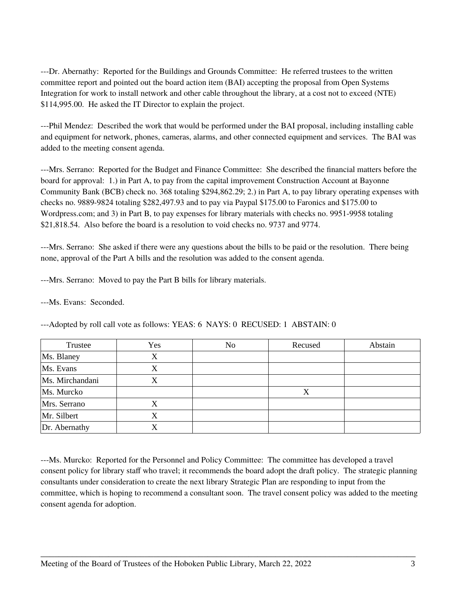---Dr. Abernathy: Reported for the Buildings and Grounds Committee: He referred trustees to the written committee report and pointed out the board action item (BAI) accepting the proposal from Open Systems Integration for work to install network and other cable throughout the library, at a cost not to exceed (NTE) \$114,995.00. He asked the IT Director to explain the project.

---Phil Mendez: Described the work that would be performed under the BAI proposal, including installing cable and equipment for network, phones, cameras, alarms, and other connected equipment and services. The BAI was added to the meeting consent agenda.

---Mrs. Serrano: Reported for the Budget and Finance Committee: She described the financial matters before the board for approval: 1.) in Part A, to pay from the capital improvement Construction Account at Bayonne Community Bank (BCB) check no. 368 totaling \$294,862.29; 2.) in Part A, to pay library operating expenses with checks no. 9889-9824 totaling \$282,497.93 and to pay via Paypal \$175.00 to Faronics and \$175.00 to Wordpress.com; and 3) in Part B, to pay expenses for library materials with checks no. 9951-9958 totaling \$21,818.54. Also before the board is a resolution to void checks no. 9737 and 9774.

---Mrs. Serrano: She asked if there were any questions about the bills to be paid or the resolution. There being none, approval of the Part A bills and the resolution was added to the consent agenda.

---Mrs. Serrano: Moved to pay the Part B bills for library materials.

---Ms. Evans: Seconded.

| Trustee         | Yes | No | Recused | Abstain |
|-----------------|-----|----|---------|---------|
| Ms. Blaney      | X   |    |         |         |
| Ms. Evans       | X   |    |         |         |
| Ms. Mirchandani | Х   |    |         |         |
| Ms. Murcko      |     |    | X       |         |
| Mrs. Serrano    | Χ   |    |         |         |
| Mr. Silbert     | Х   |    |         |         |
| Dr. Abernathy   | X   |    |         |         |

---Adopted by roll call vote as follows: YEAS: 6 NAYS: 0 RECUSED: 1 ABSTAIN: 0

---Ms. Murcko: Reported for the Personnel and Policy Committee: The committee has developed a travel consent policy for library staff who travel; it recommends the board adopt the draft policy. The strategic planning consultants under consideration to create the next library Strategic Plan are responding to input from the committee, which is hoping to recommend a consultant soon. The travel consent policy was added to the meeting consent agenda for adoption.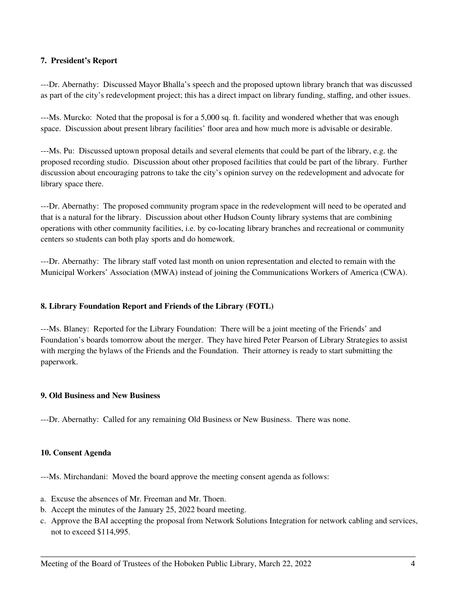# **7. President's Report**

---Dr. Abernathy: Discussed Mayor Bhalla's speech and the proposed uptown library branch that was discussed as part of the city's redevelopment project; this has a direct impact on library funding, staffing, and other issues.

---Ms. Murcko: Noted that the proposal is for a 5,000 sq. ft. facility and wondered whether that was enough space. Discussion about present library facilities' floor area and how much more is advisable or desirable.

---Ms. Pu: Discussed uptown proposal details and several elements that could be part of the library, e.g. the proposed recording studio. Discussion about other proposed facilities that could be part of the library. Further discussion about encouraging patrons to take the city's opinion survey on the redevelopment and advocate for library space there.

---Dr. Abernathy: The proposed community program space in the redevelopment will need to be operated and that is a natural for the library. Discussion about other Hudson County library systems that are combining operations with other community facilities, i.e. by co-locating library branches and recreational or community centers so students can both play sports and do homework.

---Dr. Abernathy: The library staff voted last month on union representation and elected to remain with the Municipal Workers' Association (MWA) instead of joining the Communications Workers of America (CWA).

#### **8. Library Foundation Report and Friends of the Library (FOTL)**

---Ms. Blaney: Reported for the Library Foundation: There will be a joint meeting of the Friends' and Foundation's boards tomorrow about the merger. They have hired Peter Pearson of Library Strategies to assist with merging the bylaws of the Friends and the Foundation. Their attorney is ready to start submitting the paperwork.

#### **9. Old Business and New Business**

---Dr. Abernathy: Called for any remaining Old Business or New Business. There was none.

#### **10. Consent Agenda**

---Ms. Mirchandani: Moved the board approve the meeting consent agenda as follows:

- a. Excuse the absences of Mr. Freeman and Mr. Thoen.
- b. Accept the minutes of the January 25, 2022 board meeting.
- c. Approve the BAI accepting the proposal from Network Solutions Integration for network cabling and services, not to exceed \$114,995.